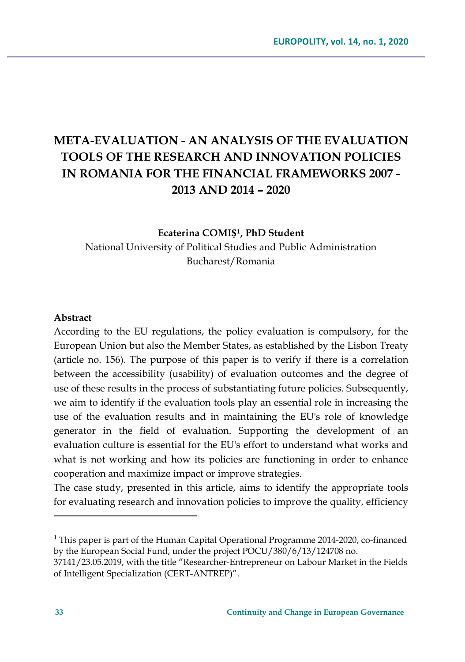# **META-EVALUATION - AN ANALYSIS OF THE EVALUATION TOOLS OF THE RESEARCH AND INNOVATION POLICIES IN ROMANIA FOR THE FINANCIAL FRAMEWORKS 2007 - 2013 AND 2014 – 2020**

#### **Ecaterina COMIȘ<sup>1</sup>, PhD Student**

National University of Political Studies and Public Administration Bucharest/Romania

#### **Abstract**

According to the EU regulations, the policy evaluation is compulsory, for the European Union but also the Member States, as established by the Lisbon Treaty (article no. 156). The purpose of this paper is to verify if there is a correlation between the accessibility (usability) of evaluation outcomes and the degree of use of these results in the process of substantiating future policies. Subsequently, we aim to identify if the evaluation tools play an essential role in increasing the use of the evaluation results and in maintaining the EU's role of knowledge generator in the field of evaluation. Supporting the development of an evaluation culture is essential for the EU's effort to understand what works and what is not working and how its policies are functioning in order to enhance cooperation and maximize impact or improve strategies.

The case study, presented in this article, aims to identify the appropriate tools for evaluating research and innovation policies to improve the quality, efficiency

<sup>1</sup> This paper is part of the Human Capital Operational Programme 2014-2020, co-financed by the European Social Fund, under the project POCU/380/6/13/124708 no.

<sup>37141/23.05.2019,</sup> with the title "Researcher-Entrepreneur on Labour Market in the Fields of Intelligent Specialization (CERT-ANTREP)".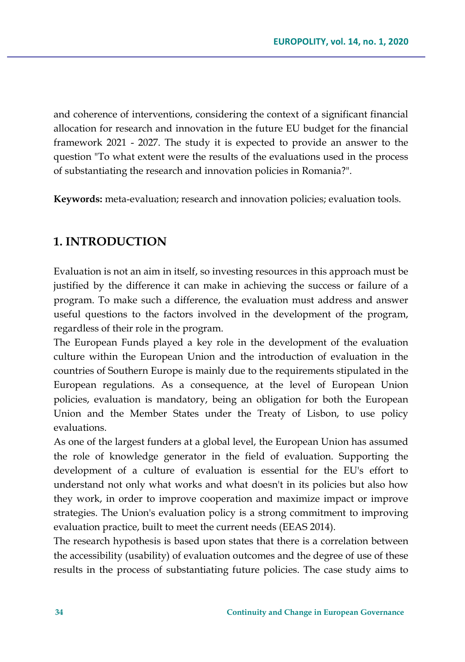and coherence of interventions, considering the context of a significant financial allocation for research and innovation in the future EU budget for the financial framework 2021 - 2027. The study it is expected to provide an answer to the question "To what extent were the results of the evaluations used in the process of substantiating the research and innovation policies in Romania?".

**Keywords:** meta-evaluation; research and innovation policies; evaluation tools.

# **1. INTRODUCTION**

Evaluation is not an aim in itself, so investing resources in this approach must be justified by the difference it can make in achieving the success or failure of a program. To make such a difference, the evaluation must address and answer useful questions to the factors involved in the development of the program, regardless of their role in the program.

The European Funds played a key role in the development of the evaluation culture within the European Union and the introduction of evaluation in the countries of Southern Europe is mainly due to the requirements stipulated in the European regulations. As a consequence, at the level of European Union policies, evaluation is mandatory, being an obligation for both the European Union and the Member States under the Treaty of Lisbon, to use policy evaluations.

As one of the largest funders at a global level, the European Union has assumed the role of knowledge generator in the field of evaluation. Supporting the development of a culture of evaluation is essential for the EU's effort to understand not only what works and what doesn't in its policies but also how they work, in order to improve cooperation and maximize impact or improve strategies. The Union's evaluation policy is a strong commitment to improving evaluation practice, built to meet the current needs (EEAS 2014).

The research hypothesis is based upon states that there is a correlation between the accessibility (usability) of evaluation outcomes and the degree of use of these results in the process of substantiating future policies. The case study aims to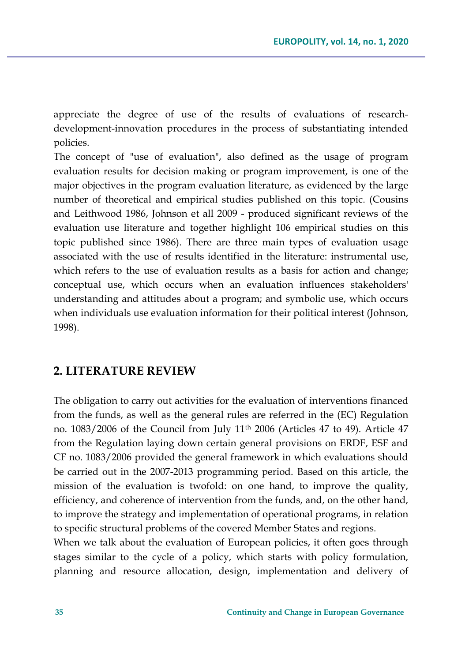appreciate the degree of use of the results of evaluations of researchdevelopment-innovation procedures in the process of substantiating intended policies.

The concept of "use of evaluation", also defined as the usage of program evaluation results for decision making or program improvement, is one of the major objectives in the program evaluation literature, as evidenced by the large number of theoretical and empirical studies published on this topic. (Cousins and Leithwood 1986, Johnson et all 2009 - produced significant reviews of the evaluation use literature and together highlight 106 empirical studies on this topic published since 1986). There are three main types of evaluation usage associated with the use of results identified in the literature: instrumental use, which refers to the use of evaluation results as a basis for action and change; conceptual use, which occurs when an evaluation influences stakeholders' understanding and attitudes about a program; and symbolic use, which occurs when individuals use evaluation information for their political interest (Johnson, 1998).

# **2. LITERATURE REVIEW**

The obligation to carry out activities for the evaluation of interventions financed from the funds, as well as the general rules are referred in the (EC) Regulation no. 1083/2006 of the Council from July 11th 2006 (Articles 47 to 49). Article 47 from the Regulation laying down certain general provisions on ERDF, ESF and CF no. 1083/2006 provided the general framework in which evaluations should be carried out in the 2007-2013 programming period. Based on this article, the mission of the evaluation is twofold: on one hand, to improve the quality, efficiency, and coherence of intervention from the funds, and, on the other hand, to improve the strategy and implementation of operational programs, in relation to specific structural problems of the covered Member States and regions.

When we talk about the evaluation of European policies, it often goes through stages similar to the cycle of a policy, which starts with policy formulation, planning and resource allocation, design, implementation and delivery of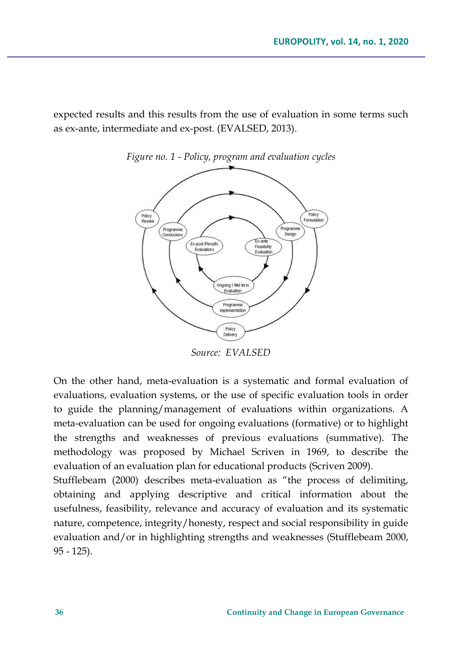expected results and this results from the use of evaluation in some terms such as ex-ante, intermediate and ex-post. (EVALSED, 2013).





*Source: EVALSED*

On the other hand, meta-evaluation is a systematic and formal evaluation of evaluations, evaluation systems, or the use of specific evaluation tools in order to guide the planning/management of evaluations within organizations. A meta-evaluation can be used for ongoing evaluations (formative) or to highlight the strengths and weaknesses of previous evaluations (summative). The methodology was proposed by Michael Scriven in 1969, to describe the evaluation of an evaluation plan for educational products (Scriven 2009).

Stufflebeam (2000) describes meta-evaluation as "the process of delimiting, obtaining and applying descriptive and critical information about the usefulness, feasibility, relevance and accuracy of evaluation and its systematic nature, competence, integrity/honesty, respect and social responsibility in guide evaluation and/or in highlighting strengths and weaknesses (Stufflebeam 2000, 95 - 125).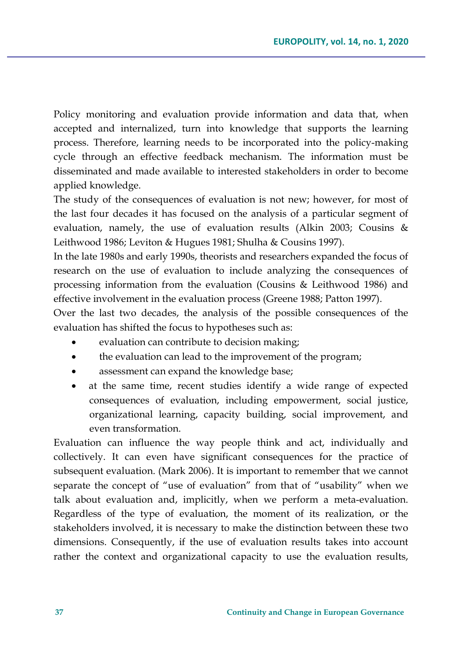Policy monitoring and evaluation provide information and data that, when accepted and internalized, turn into knowledge that supports the learning process. Therefore, learning needs to be incorporated into the policy-making cycle through an effective feedback mechanism. The information must be disseminated and made available to interested stakeholders in order to become applied knowledge.

The study of the consequences of evaluation is not new; however, for most of the last four decades it has focused on the analysis of a particular segment of evaluation, namely, the use of evaluation results (Alkin 2003; Cousins & Leithwood 1986; Leviton & Hugues 1981; Shulha & Cousins 1997).

In the late 1980s and early 1990s, theorists and researchers expanded the focus of research on the use of evaluation to include analyzing the consequences of processing information from the evaluation (Cousins & Leithwood 1986) and effective involvement in the evaluation process (Greene 1988; Patton 1997).

Over the last two decades, the analysis of the possible consequences of the evaluation has shifted the focus to hypotheses such as:

- evaluation can contribute to decision making;
- the evaluation can lead to the improvement of the program;
- assessment can expand the knowledge base;
- at the same time, recent studies identify a wide range of expected consequences of evaluation, including empowerment, social justice, organizational learning, capacity building, social improvement, and even transformation.

Evaluation can influence the way people think and act, individually and collectively. It can even have significant consequences for the practice of subsequent evaluation. (Mark 2006). It is important to remember that we cannot separate the concept of "use of evaluation" from that of "usability" when we talk about evaluation and, implicitly, when we perform a meta-evaluation. Regardless of the type of evaluation, the moment of its realization, or the stakeholders involved, it is necessary to make the distinction between these two dimensions. Consequently, if the use of evaluation results takes into account rather the context and organizational capacity to use the evaluation results,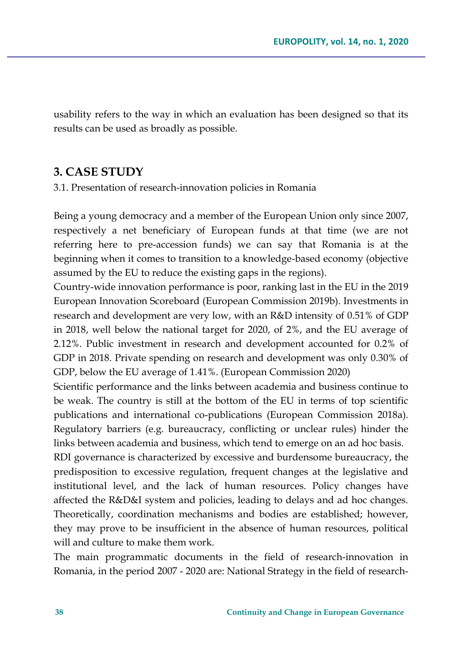usability refers to the way in which an evaluation has been designed so that its results can be used as broadly as possible.

### **3. CASE STUDY**

3.1. Presentation of research-innovation policies in Romania

Being a young democracy and a member of the European Union only since 2007, respectively a net beneficiary of European funds at that time (we are not referring here to pre-accession funds) we can say that Romania is at the beginning when it comes to transition to a knowledge-based economy (objective assumed by the EU to reduce the existing gaps in the regions).

Country-wide innovation performance is poor, ranking last in the EU in the 2019 European Innovation Scoreboard (European Commission 2019b). Investments in research and development are very low, with an R&D intensity of 0.51% of GDP in 2018, well below the national target for 2020, of 2%, and the EU average of 2.12%. Public investment in research and development accounted for 0.2% of GDP in 2018. Private spending on research and development was only 0.30% of GDP, below the EU average of 1.41%. (European Commission 2020)

Scientific performance and the links between academia and business continue to be weak. The country is still at the bottom of the EU in terms of top scientific publications and international co-publications (European Commission 2018a). Regulatory barriers (e.g. bureaucracy, conflicting or unclear rules) hinder the links between academia and business, which tend to emerge on an ad hoc basis.

RDI governance is characterized by excessive and burdensome bureaucracy, the predisposition to excessive regulation, frequent changes at the legislative and institutional level, and the lack of human resources. Policy changes have affected the R&D&I system and policies, leading to delays and ad hoc changes. Theoretically, coordination mechanisms and bodies are established; however, they may prove to be insufficient in the absence of human resources, political will and culture to make them work.

The main programmatic documents in the field of research-innovation in Romania, in the period 2007 - 2020 are: National Strategy in the field of research-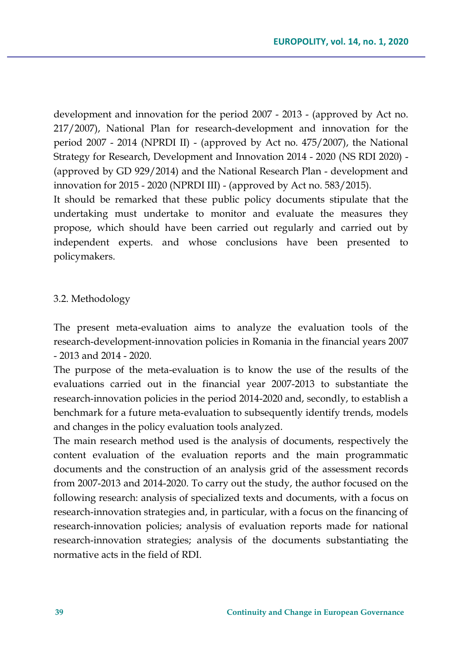development and innovation for the period 2007 - 2013 - (approved by Act no. 217/2007), National Plan for research-development and innovation for the period 2007 - 2014 (NPRDI II) - (approved by Act no. 475/2007), the National Strategy for Research, Development and Innovation 2014 - 2020 (NS RDI 2020) - (approved by GD 929/2014) and the National Research Plan - development and innovation for 2015 - 2020 (NPRDI III) - (approved by Act no. 583/2015).

It should be remarked that these public policy documents stipulate that the undertaking must undertake to monitor and evaluate the measures they propose, which should have been carried out regularly and carried out by independent experts. and whose conclusions have been presented to policymakers.

#### 3.2. Methodology

The present meta-evaluation aims to analyze the evaluation tools of the research-development-innovation policies in Romania in the financial years 2007 - 2013 and 2014 - 2020.

The purpose of the meta-evaluation is to know the use of the results of the evaluations carried out in the financial year 2007-2013 to substantiate the research-innovation policies in the period 2014-2020 and, secondly, to establish a benchmark for a future meta-evaluation to subsequently identify trends, models and changes in the policy evaluation tools analyzed.

The main research method used is the analysis of documents, respectively the content evaluation of the evaluation reports and the main programmatic documents and the construction of an analysis grid of the assessment records from 2007-2013 and 2014-2020. To carry out the study, the author focused on the following research: analysis of specialized texts and documents, with a focus on research-innovation strategies and, in particular, with a focus on the financing of research-innovation policies; analysis of evaluation reports made for national research-innovation strategies; analysis of the documents substantiating the normative acts in the field of RDI.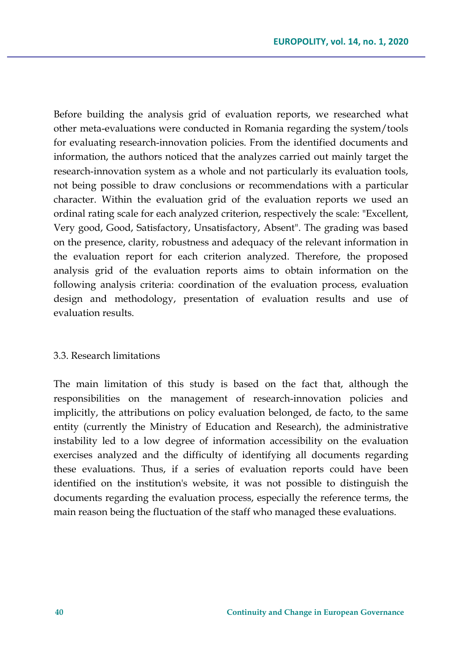Before building the analysis grid of evaluation reports, we researched what other meta-evaluations were conducted in Romania regarding the system/tools for evaluating research-innovation policies. From the identified documents and information, the authors noticed that the analyzes carried out mainly target the research-innovation system as a whole and not particularly its evaluation tools, not being possible to draw conclusions or recommendations with a particular character. Within the evaluation grid of the evaluation reports we used an ordinal rating scale for each analyzed criterion, respectively the scale: "Excellent, Very good, Good, Satisfactory, Unsatisfactory, Absent". The grading was based on the presence, clarity, robustness and adequacy of the relevant information in the evaluation report for each criterion analyzed. Therefore, the proposed analysis grid of the evaluation reports aims to obtain information on the following analysis criteria: coordination of the evaluation process, evaluation design and methodology, presentation of evaluation results and use of evaluation results.

#### 3.3. Research limitations

The main limitation of this study is based on the fact that, although the responsibilities on the management of research-innovation policies and implicitly, the attributions on policy evaluation belonged, de facto, to the same entity (currently the Ministry of Education and Research), the administrative instability led to a low degree of information accessibility on the evaluation exercises analyzed and the difficulty of identifying all documents regarding these evaluations. Thus, if a series of evaluation reports could have been identified on the institution's website, it was not possible to distinguish the documents regarding the evaluation process, especially the reference terms, the main reason being the fluctuation of the staff who managed these evaluations.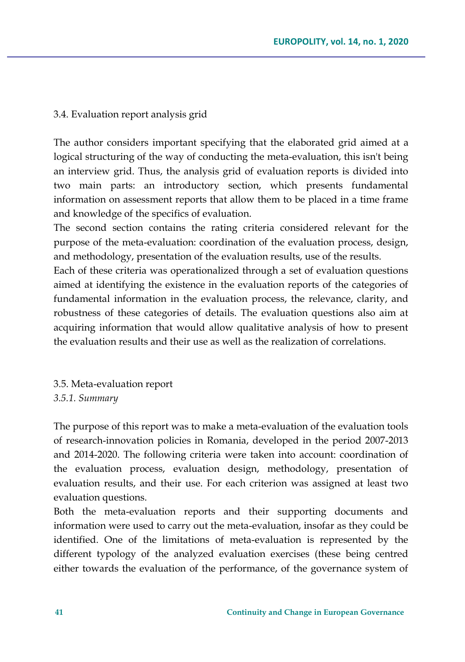#### 3.4. Evaluation report analysis grid

The author considers important specifying that the elaborated grid aimed at a logical structuring of the way of conducting the meta-evaluation, this isn't being an interview grid. Thus, the analysis grid of evaluation reports is divided into two main parts: an introductory section, which presents fundamental information on assessment reports that allow them to be placed in a time frame and knowledge of the specifics of evaluation.

The second section contains the rating criteria considered relevant for the purpose of the meta-evaluation: coordination of the evaluation process, design, and methodology, presentation of the evaluation results, use of the results.

Each of these criteria was operationalized through a set of evaluation questions aimed at identifying the existence in the evaluation reports of the categories of fundamental information in the evaluation process, the relevance, clarity, and robustness of these categories of details. The evaluation questions also aim at acquiring information that would allow qualitative analysis of how to present the evaluation results and their use as well as the realization of correlations.

3.5. Meta-evaluation report *3.5.1. Summary*

The purpose of this report was to make a meta-evaluation of the evaluation tools of research-innovation policies in Romania, developed in the period 2007-2013 and 2014-2020. The following criteria were taken into account: coordination of the evaluation process, evaluation design, methodology, presentation of evaluation results, and their use. For each criterion was assigned at least two evaluation questions.

Both the meta-evaluation reports and their supporting documents and information were used to carry out the meta-evaluation, insofar as they could be identified. One of the limitations of meta-evaluation is represented by the different typology of the analyzed evaluation exercises (these being centred either towards the evaluation of the performance, of the governance system of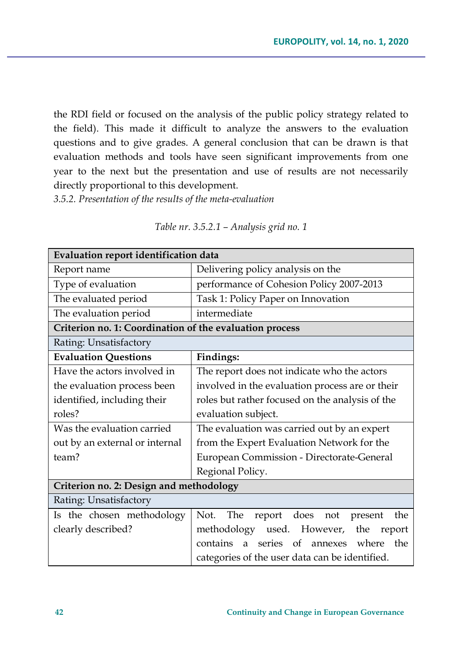the RDI field or focused on the analysis of the public policy strategy related to the field). This made it difficult to analyze the answers to the evaluation questions and to give grades. A general conclusion that can be drawn is that evaluation methods and tools have seen significant improvements from one year to the next but the presentation and use of results are not necessarily directly proportional to this development.

*3.5.2. Presentation of the results of the meta-evaluation*

| Evaluation report identification data                   |                                                     |  |
|---------------------------------------------------------|-----------------------------------------------------|--|
| Report name                                             | Delivering policy analysis on the                   |  |
| Type of evaluation                                      | performance of Cohesion Policy 2007-2013            |  |
| The evaluated period                                    | Task 1: Policy Paper on Innovation                  |  |
| The evaluation period                                   | intermediate                                        |  |
| Criterion no. 1: Coordination of the evaluation process |                                                     |  |
| Rating: Unsatisfactory                                  |                                                     |  |
| <b>Evaluation Questions</b>                             | Findings:                                           |  |
| Have the actors involved in                             | The report does not indicate who the actors         |  |
| the evaluation process been                             | involved in the evaluation process are or their     |  |
| identified, including their                             | roles but rather focused on the analysis of the     |  |
| roles?                                                  | evaluation subject.                                 |  |
| Was the evaluation carried                              | The evaluation was carried out by an expert         |  |
| out by an external or internal                          | from the Expert Evaluation Network for the          |  |
| team?                                                   | European Commission - Directorate-General           |  |
|                                                         | Regional Policy.                                    |  |
| Criterion no. 2: Design and methodology                 |                                                     |  |
| Rating: Unsatisfactory                                  |                                                     |  |
| Is the chosen methodology                               | The<br>Not.<br>report does<br>the<br>not<br>present |  |
| clearly described?                                      | used. However, the<br>methodology<br>report         |  |
|                                                         | a series of annexes where<br>the<br>contains        |  |
|                                                         | categories of the user data can be identified.      |  |

*Table nr. 3.5.2.1 – Analysis grid no. 1*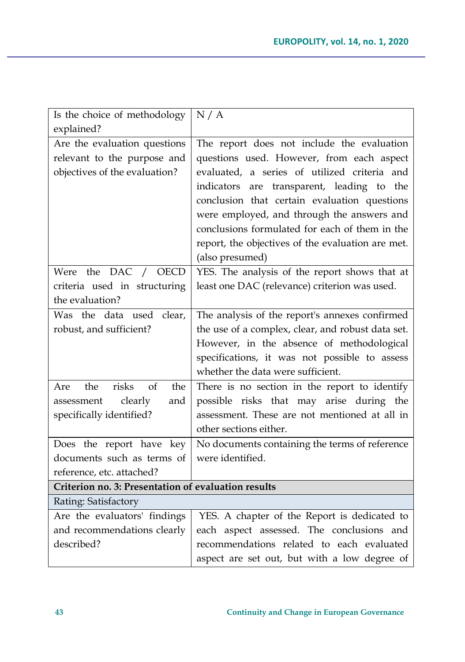| Is the choice of methodology                        | N/A                                               |
|-----------------------------------------------------|---------------------------------------------------|
| explained?                                          |                                                   |
| Are the evaluation questions                        | The report does not include the evaluation        |
| relevant to the purpose and                         | questions used. However, from each aspect         |
| objectives of the evaluation?                       | evaluated, a series of utilized criteria and      |
|                                                     | indicators are transparent, leading to the        |
|                                                     | conclusion that certain evaluation questions      |
|                                                     | were employed, and through the answers and        |
|                                                     | conclusions formulated for each of them in the    |
|                                                     | report, the objectives of the evaluation are met. |
|                                                     | (also presumed)                                   |
| Were the DAC / OECD                                 | YES. The analysis of the report shows that at     |
| criteria used in structuring                        | least one DAC (relevance) criterion was used.     |
| the evaluation?                                     |                                                   |
| Was the data used clear,                            | The analysis of the report's annexes confirmed    |
| robust, and sufficient?                             | the use of a complex, clear, and robust data set. |
|                                                     | However, in the absence of methodological         |
|                                                     | specifications, it was not possible to assess     |
|                                                     | whether the data were sufficient.                 |
| the<br>risks<br>of<br>the<br>Are                    | There is no section in the report to identify     |
| assessment<br>clearly<br>and                        | possible risks that may arise during the          |
| specifically identified?                            | assessment. These are not mentioned at all in     |
|                                                     | other sections either.                            |
| Does the report have key                            | No documents containing the terms of reference    |
| documents such as terms of                          | were identified.                                  |
| reference, etc. attached?                           |                                                   |
| Criterion no. 3: Presentation of evaluation results |                                                   |
| Rating: Satisfactory                                |                                                   |
| Are the evaluators' findings                        | YES. A chapter of the Report is dedicated to      |
| and recommendations clearly                         | each aspect assessed. The conclusions and         |
| described?                                          | recommendations related to each evaluated         |
|                                                     | aspect are set out, but with a low degree of      |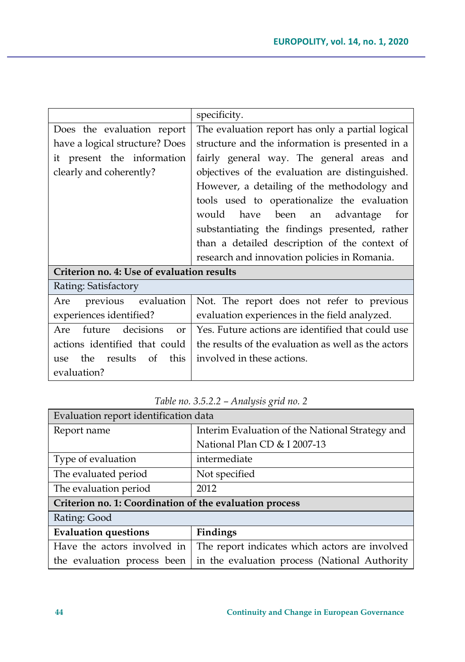|                                            | specificity.                                        |
|--------------------------------------------|-----------------------------------------------------|
| Does the evaluation report                 | The evaluation report has only a partial logical    |
| have a logical structure? Does             | structure and the information is presented in a     |
| it present the information                 | fairly general way. The general areas and           |
| clearly and coherently?                    | objectives of the evaluation are distinguished.     |
|                                            | However, a detailing of the methodology and         |
|                                            | tools used to operationalize the evaluation         |
|                                            | would have been an advantage<br>for                 |
|                                            | substantiating the findings presented, rather       |
|                                            | than a detailed description of the context of       |
|                                            | research and innovation policies in Romania.        |
| Criterion no. 4: Use of evaluation results |                                                     |
| Rating: Satisfactory                       |                                                     |
| previous evaluation<br>Are                 | Not. The report does not refer to previous          |
| experiences identified?                    | evaluation experiences in the field analyzed.       |
| future decisions<br>Are<br>$\alpha$        | Yes. Future actions are identified that could use   |
| actions identified that could              | the results of the evaluation as well as the actors |
| the results of<br>this<br>use.             | involved in these actions.                          |
| evaluation?                                |                                                     |

| Evaluation report identification data                   |                                                 |  |
|---------------------------------------------------------|-------------------------------------------------|--|
| Report name                                             | Interim Evaluation of the National Strategy and |  |
|                                                         | National Plan CD & I 2007-13                    |  |
| Type of evaluation                                      | intermediate                                    |  |
| The evaluated period                                    | Not specified                                   |  |
| The evaluation period                                   | 2012                                            |  |
| Criterion no. 1: Coordination of the evaluation process |                                                 |  |
| Rating: Good                                            |                                                 |  |
| <b>Evaluation questions</b>                             | Findings                                        |  |
| Have the actors involved in                             | The report indicates which actors are involved  |  |
| the evaluation process been                             | in the evaluation process (National Authority   |  |

*Table no. 3.5.2.2 – Analysis grid no. 2*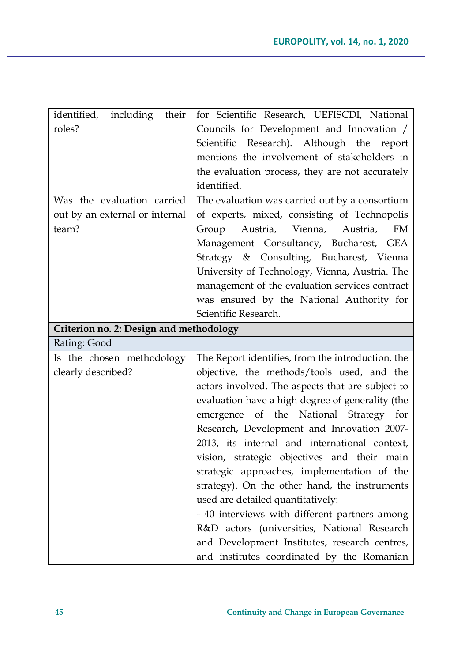| identified, including<br>their          | for Scientific Research, UEFISCDI, National        |
|-----------------------------------------|----------------------------------------------------|
| roles?                                  | Councils for Development and Innovation /          |
|                                         | Scientific Research). Although the report          |
|                                         | mentions the involvement of stakeholders in        |
|                                         | the evaluation process, they are not accurately    |
|                                         | identified.                                        |
| Was the evaluation carried              | The evaluation was carried out by a consortium     |
| out by an external or internal          | of experts, mixed, consisting of Technopolis       |
| team?                                   | Austria, Vienna,<br>Group<br>Austria,<br><b>FM</b> |
|                                         | Management Consultancy, Bucharest, GEA             |
|                                         | Strategy & Consulting, Bucharest, Vienna           |
|                                         | University of Technology, Vienna, Austria. The     |
|                                         | management of the evaluation services contract     |
|                                         | was ensured by the National Authority for          |
|                                         | Scientific Research.                               |
| Criterion no. 2: Design and methodology |                                                    |
|                                         |                                                    |
| Rating: Good                            |                                                    |
| Is the chosen methodology               | The Report identifies, from the introduction, the  |
| clearly described?                      | objective, the methods/tools used, and the         |
|                                         | actors involved. The aspects that are subject to   |
|                                         | evaluation have a high degree of generality (the   |
|                                         | emergence of the National Strategy for             |
|                                         | Research, Development and Innovation 2007-         |
|                                         | 2013, its internal and international context,      |
|                                         | vision, strategic objectives and their main        |
|                                         | strategic approaches, implementation of the        |
|                                         | strategy). On the other hand, the instruments      |
|                                         | used are detailed quantitatively:                  |
|                                         | - 40 interviews with different partners among      |
|                                         | R&D actors (universities, National Research        |
|                                         | and Development Institutes, research centres,      |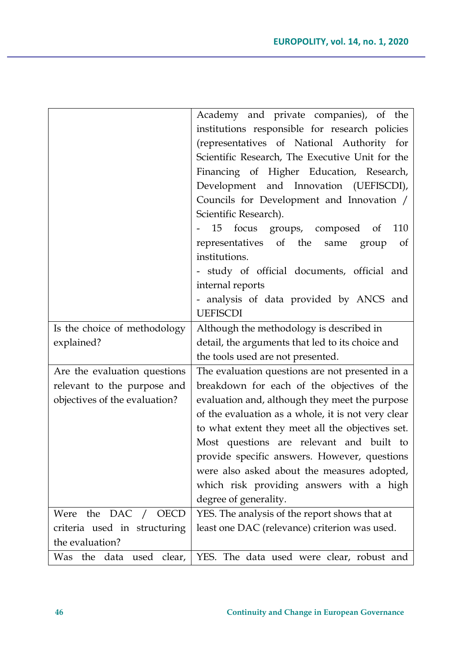|                               | Academy and private companies), of the             |
|-------------------------------|----------------------------------------------------|
|                               | institutions responsible for research policies     |
|                               | (representatives of National Authority for         |
|                               | Scientific Research, The Executive Unit for the    |
|                               | Financing of Higher Education, Research,           |
|                               | Development and Innovation (UEFISCDI),             |
|                               | Councils for Development and Innovation /          |
|                               | Scientific Research).                              |
|                               | 15<br>focus<br>groups, composed<br>110<br>of       |
|                               | representatives of the<br>same<br>group<br>of      |
|                               | institutions.                                      |
|                               | study of official documents, official and          |
|                               | internal reports                                   |
|                               | analysis of data provided by ANCS and              |
|                               | <b>UEFISCDI</b>                                    |
| Is the choice of methodology  | Although the methodology is described in           |
| explained?                    | detail, the arguments that led to its choice and   |
|                               | the tools used are not presented.                  |
| Are the evaluation questions  | The evaluation questions are not presented in a    |
| relevant to the purpose and   | breakdown for each of the objectives of the        |
| objectives of the evaluation? | evaluation and, although they meet the purpose     |
|                               | of the evaluation as a whole, it is not very clear |
|                               | to what extent they meet all the objectives set.   |
|                               | Most questions are relevant and built to           |
|                               | provide specific answers. However, questions       |
|                               | were also asked about the measures adopted,        |
|                               | which risk providing answers with a high           |
|                               | degree of generality.                              |
| DAC / OECD<br>Were the        | YES. The analysis of the report shows that at      |
| criteria used in structuring  | least one DAC (relevance) criterion was used.      |
| the evaluation?               |                                                    |
| Was the data used clear,      | YES. The data used were clear, robust and          |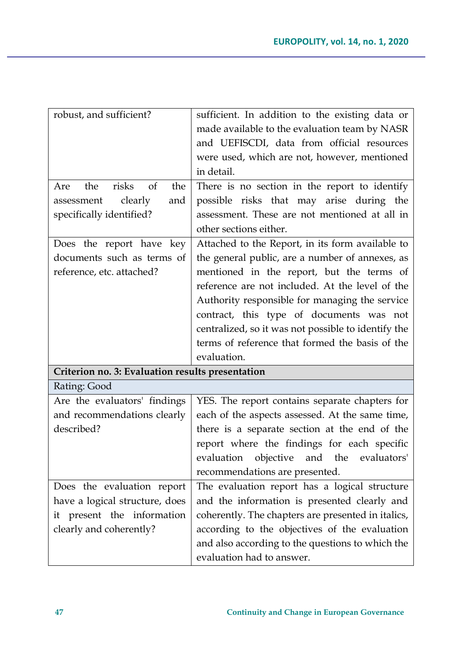| robust, and sufficient?                          | sufficient. In addition to the existing data or     |
|--------------------------------------------------|-----------------------------------------------------|
|                                                  | made available to the evaluation team by NASR       |
|                                                  | and UEFISCDI, data from official resources          |
|                                                  | were used, which are not, however, mentioned        |
|                                                  | in detail.                                          |
| risks<br>the<br>of<br>the<br>Are                 | There is no section in the report to identify       |
| clearly<br>assessment<br>and                     | possible risks that may arise during the            |
| specifically identified?                         | assessment. These are not mentioned at all in       |
|                                                  | other sections either.                              |
| Does the report have<br>key                      | Attached to the Report, in its form available to    |
| documents such as terms of                       | the general public, are a number of annexes, as     |
| reference, etc. attached?                        | mentioned in the report, but the terms of           |
|                                                  | reference are not included. At the level of the     |
|                                                  | Authority responsible for managing the service      |
|                                                  | contract, this type of documents was not            |
|                                                  | centralized, so it was not possible to identify the |
|                                                  | terms of reference that formed the basis of the     |
|                                                  | evaluation.                                         |
| Criterion no. 3: Evaluation results presentation |                                                     |
| Rating: Good                                     |                                                     |
| Are the evaluators' findings                     | YES. The report contains separate chapters for      |
| and recommendations clearly                      | each of the aspects assessed. At the same time,     |
| described?                                       | there is a separate section at the end of the       |
|                                                  | report where the findings for each specific         |
|                                                  | evaluation objective and the<br>evaluators'         |
|                                                  | recommendations are presented.                      |
| Does the evaluation report                       | The evaluation report has a logical structure       |
| have a logical structure, does                   | and the information is presented clearly and        |
| it present the information                       | coherently. The chapters are presented in italics,  |
| clearly and coherently?                          | according to the objectives of the evaluation       |
|                                                  | and also according to the questions to which the    |
|                                                  | evaluation had to answer.                           |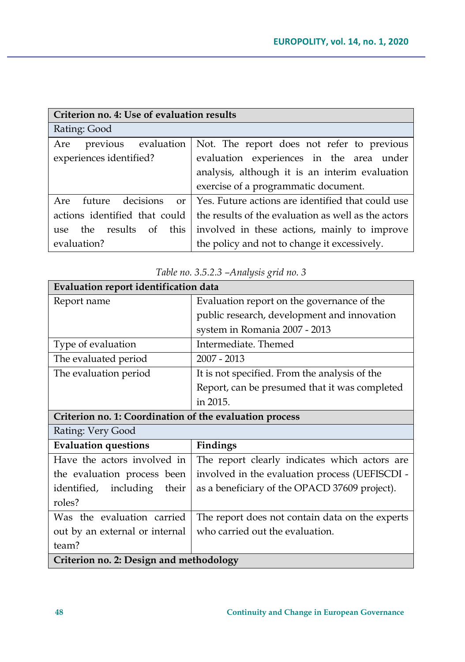| Criterion no. 4: Use of evaluation results  |                                                     |
|---------------------------------------------|-----------------------------------------------------|
| Rating: Good                                |                                                     |
| previous evaluation<br>Are                  | Not. The report does not refer to previous          |
| experiences identified?                     | evaluation experiences in the area under            |
|                                             | analysis, although it is an interim evaluation      |
|                                             | exercise of a programmatic document.                |
| decisions<br>future<br>Are<br><sub>or</sub> | Yes. Future actions are identified that could use   |
| actions identified that could               | the results of the evaluation as well as the actors |
| the results<br>of<br>this<br>use            | involved in these actions, mainly to improve        |
| evaluation?                                 | the policy and not to change it excessively.        |

| Evaluation report identification data                   |                                                 |
|---------------------------------------------------------|-------------------------------------------------|
| Report name                                             | Evaluation report on the governance of the      |
|                                                         | public research, development and innovation     |
|                                                         | system in Romania 2007 - 2013                   |
| Type of evaluation                                      | Intermediate. Themed                            |
| The evaluated period                                    | 2007 - 2013                                     |
| The evaluation period                                   | It is not specified. From the analysis of the   |
|                                                         | Report, can be presumed that it was completed   |
|                                                         | in 2015.                                        |
| Criterion no. 1: Coordination of the evaluation process |                                                 |
| Rating: Very Good                                       |                                                 |
| <b>Evaluation questions</b>                             | Findings                                        |
| Have the actors involved in                             | The report clearly indicates which actors are   |
| the evaluation process been                             | involved in the evaluation process (UEFISCDI -  |
| identified, including<br>their                          | as a beneficiary of the OPACD 37609 project).   |
| roles?                                                  |                                                 |
| Was the evaluation carried                              | The report does not contain data on the experts |
| out by an external or internal                          | who carried out the evaluation.                 |
| team?                                                   |                                                 |
| Criterion no. 2: Design and methodology                 |                                                 |

*Table no. 3.5.2.3 –Analysis grid no. 3*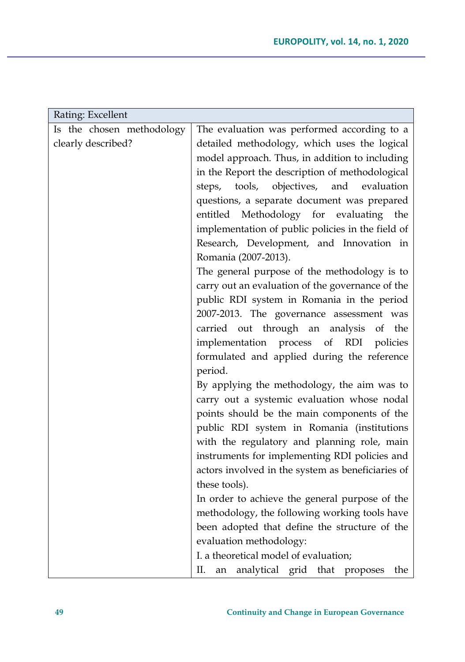| Rating: Excellent         |                                                                  |
|---------------------------|------------------------------------------------------------------|
| Is the chosen methodology | The evaluation was performed according to a                      |
| clearly described?        | detailed methodology, which uses the logical                     |
|                           | model approach. Thus, in addition to including                   |
|                           | in the Report the description of methodological                  |
|                           | objectives,<br>and<br>tools,<br>evaluation<br>steps,             |
|                           | questions, a separate document was prepared                      |
|                           | entitled Methodology for evaluating the                          |
|                           | implementation of public policies in the field of                |
|                           | Research, Development, and Innovation in                         |
|                           | Romania (2007-2013).                                             |
|                           | The general purpose of the methodology is to                     |
|                           | carry out an evaluation of the governance of the                 |
|                           | public RDI system in Romania in the period                       |
|                           | 2007-2013. The governance assessment was                         |
|                           | carried out through an analysis of<br>the                        |
|                           | implementation process of RDI policies                           |
|                           | formulated and applied during the reference                      |
|                           | period.                                                          |
|                           | By applying the methodology, the aim was to                      |
|                           | carry out a systemic evaluation whose nodal                      |
|                           | points should be the main components of the                      |
|                           | public RDI system in Romania (institutions                       |
|                           | with the regulatory and planning role, main                      |
|                           | instruments for implementing RDI policies and                    |
|                           | actors involved in the system as beneficiaries of                |
|                           | these tools).                                                    |
|                           | In order to achieve the general purpose of the                   |
|                           | methodology, the following working tools have                    |
|                           | been adopted that define the structure of the                    |
|                           | evaluation methodology:<br>I. a theoretical model of evaluation; |
|                           |                                                                  |
|                           | analytical grid that proposes<br>II.<br>the<br>an                |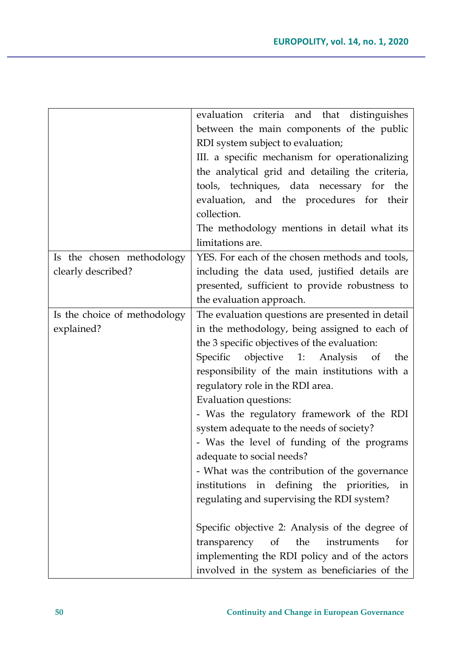|                              | evaluation criteria and that distinguishes        |
|------------------------------|---------------------------------------------------|
|                              | between the main components of the public         |
|                              | RDI system subject to evaluation;                 |
|                              | III. a specific mechanism for operationalizing    |
|                              | the analytical grid and detailing the criteria,   |
|                              | tools, techniques, data necessary for<br>the      |
|                              | evaluation, and the procedures for their          |
|                              | collection.                                       |
|                              | The methodology mentions in detail what its       |
|                              | limitations are.                                  |
| Is the chosen methodology    | YES. For each of the chosen methods and tools,    |
| clearly described?           | including the data used, justified details are    |
|                              | presented, sufficient to provide robustness to    |
|                              | the evaluation approach.                          |
| Is the choice of methodology | The evaluation questions are presented in detail  |
| explained?                   | in the methodology, being assigned to each of     |
|                              | the 3 specific objectives of the evaluation:      |
|                              | Specific<br>objective<br>1: Analysis<br>of<br>the |
|                              | responsibility of the main institutions with a    |
|                              | regulatory role in the RDI area.                  |
|                              | Evaluation questions:                             |
|                              | - Was the regulatory framework of the RDI         |
|                              | system adequate to the needs of society?          |
|                              | - Was the level of funding of the programs        |
|                              | adequate to social needs?                         |
|                              | - What was the contribution of the governance     |
|                              | institutions in defining the priorities, in       |
|                              | regulating and supervising the RDI system?        |
|                              |                                                   |
|                              | Specific objective 2: Analysis of the degree of   |
|                              | transparency of<br>the<br>instruments<br>for      |
|                              | implementing the RDI policy and of the actors     |
|                              | involved in the system as beneficiaries of the    |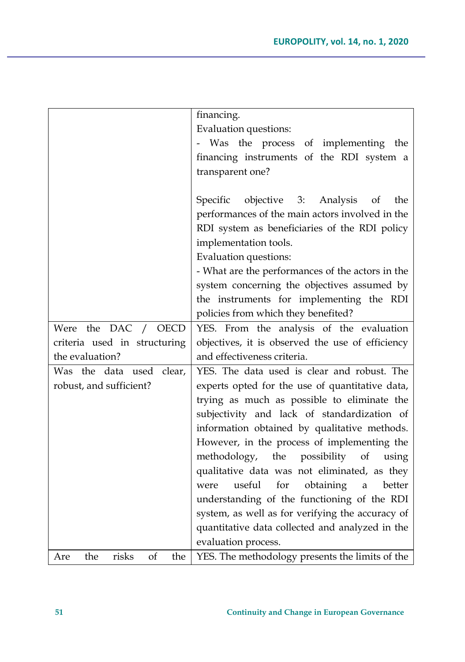|                                  | financing.                                        |
|----------------------------------|---------------------------------------------------|
|                                  | Evaluation questions:                             |
|                                  | - Was the process of implementing the             |
|                                  | financing instruments of the RDI system a         |
|                                  | transparent one?                                  |
|                                  |                                                   |
|                                  | objective 3: Analysis<br>Specific<br>the<br>of    |
|                                  | performances of the main actors involved in the   |
|                                  | RDI system as beneficiaries of the RDI policy     |
|                                  | implementation tools.                             |
|                                  | Evaluation questions:                             |
|                                  | - What are the performances of the actors in the  |
|                                  | system concerning the objectives assumed by       |
|                                  | the instruments for implementing the RDI          |
|                                  | policies from which they benefited?               |
| DAC /<br>Were the<br><b>OECD</b> | YES. From the analysis of the evaluation          |
| criteria used in structuring     | objectives, it is observed the use of efficiency  |
| the evaluation?                  | and effectiveness criteria.                       |
| Was the data used clear,         | YES. The data used is clear and robust. The       |
| robust, and sufficient?          | experts opted for the use of quantitative data,   |
|                                  | trying as much as possible to eliminate the       |
|                                  | subjectivity and lack of standardization of       |
|                                  | information obtained by qualitative methods.      |
|                                  | However, in the process of implementing the       |
|                                  | methodology, the possibility<br>of<br>using       |
|                                  | qualitative data was not eliminated, as they      |
|                                  | for<br>useful<br>obtaining<br>better<br>a<br>were |
|                                  | understanding of the functioning of the RDI       |
|                                  | system, as well as for verifying the accuracy of  |
|                                  | quantitative data collected and analyzed in the   |
|                                  | evaluation process.                               |
| risks<br>the<br>οf<br>the<br>Are | YES. The methodology presents the limits of the   |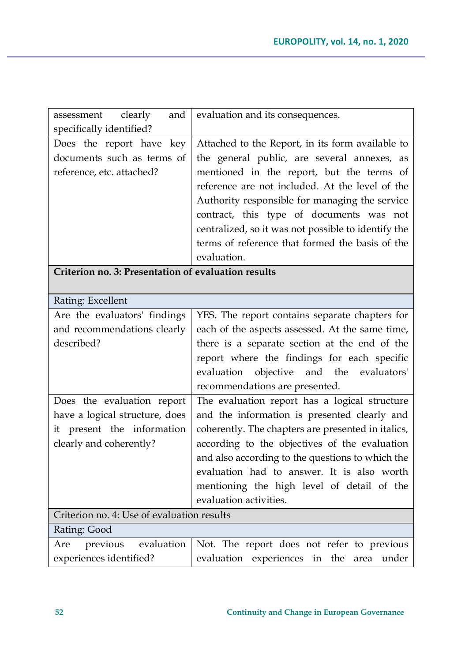| clearly<br>and<br>assessment                          | evaluation and its consequences.                                                          |
|-------------------------------------------------------|-------------------------------------------------------------------------------------------|
| specifically identified?                              |                                                                                           |
| Does the report have<br>key                           | Attached to the Report, in its form available to                                          |
| documents such as terms of                            | the general public, are several annexes, as                                               |
| reference, etc. attached?                             | mentioned in the report, but the terms of                                                 |
|                                                       | reference are not included. At the level of the                                           |
|                                                       | Authority responsible for managing the service                                            |
|                                                       | contract, this type of documents was not                                                  |
|                                                       | centralized, so it was not possible to identify the                                       |
|                                                       | terms of reference that formed the basis of the                                           |
|                                                       | evaluation.                                                                               |
| Criterion no. 3: Presentation of evaluation results   |                                                                                           |
|                                                       |                                                                                           |
| Rating: Excellent                                     |                                                                                           |
| Are the evaluators' findings                          | YES. The report contains separate chapters for                                            |
| and recommendations clearly                           | each of the aspects assessed. At the same time,                                           |
| described?                                            | there is a separate section at the end of the                                             |
|                                                       | report where the findings for each specific                                               |
|                                                       | evaluation objective and the<br>evaluators'                                               |
|                                                       | recommendations are presented.                                                            |
| Does the evaluation report                            | The evaluation report has a logical structure                                             |
| have a logical structure, does                        | and the information is presented clearly and                                              |
| it present the information                            | coherently. The chapters are presented in italics,                                        |
| clearly and coherently?                               | according to the objectives of the evaluation                                             |
|                                                       | and also according to the questions to which the                                          |
|                                                       | evaluation had to answer. It is also worth                                                |
|                                                       | mentioning the high level of detail of the                                                |
|                                                       | evaluation activities.                                                                    |
| Criterion no. 4: Use of evaluation results            |                                                                                           |
|                                                       |                                                                                           |
| Rating: Good                                          |                                                                                           |
| previous evaluation<br>Are<br>experiences identified? | Not. The report does not refer to previous<br>evaluation experiences in the area<br>under |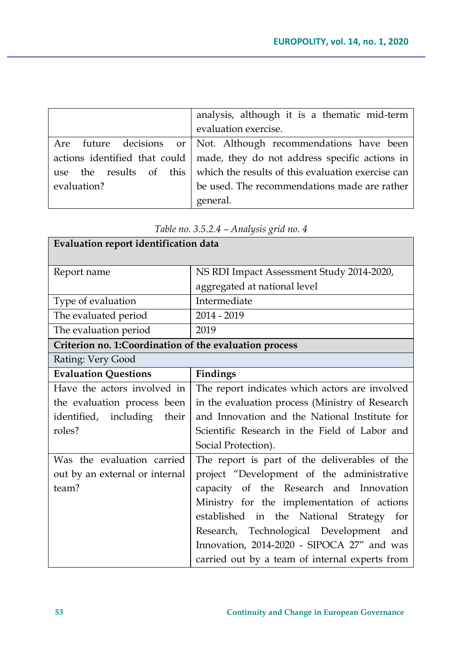|             | analysis, although it is a thematic mid-term                                        |
|-------------|-------------------------------------------------------------------------------------|
|             | evaluation exercise.                                                                |
|             | Are future decisions or Not. Although recommendations have been                     |
|             | actions identified that could $\vert$ made, they do not address specific actions in |
|             | use the results of this which the results of this evaluation exercise can           |
| evaluation? | be used. The recommendations made are rather                                        |
|             | general.                                                                            |

| Evaluation report identification data                  |                                                 |
|--------------------------------------------------------|-------------------------------------------------|
| Report name                                            | NS RDI Impact Assessment Study 2014-2020,       |
|                                                        | aggregated at national level                    |
| Type of evaluation                                     | Intermediate                                    |
| The evaluated period                                   | 2014 - 2019                                     |
| The evaluation period                                  | 2019                                            |
| Criterion no. 1:Coordination of the evaluation process |                                                 |
| Rating: Very Good                                      |                                                 |
| <b>Evaluation Questions</b>                            | Findings                                        |
| Have the actors involved in                            | The report indicates which actors are involved  |
| the evaluation process been                            | in the evaluation process (Ministry of Research |
| identified, including their                            | and Innovation and the National Institute for   |
| roles?                                                 | Scientific Research in the Field of Labor and   |
|                                                        | Social Protection).                             |
| Was the evaluation carried                             | The report is part of the deliverables of the   |
| out by an external or internal                         | project "Development of the administrative      |
| team?                                                  | capacity of the Research and Innovation         |
|                                                        | Ministry for the implementation of actions      |
|                                                        | established in the National Strategy<br>for     |
|                                                        | Research, Technological Development and         |
|                                                        | Innovation, 2014-2020 - SIPOCA 27" and was      |
|                                                        | carried out by a team of internal experts from  |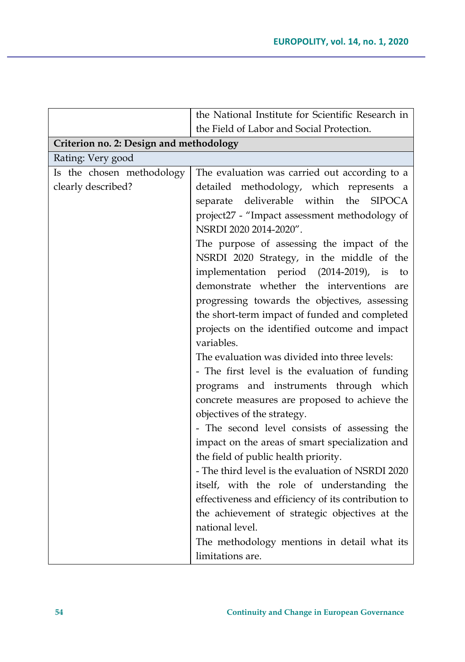| the Field of Labor and Social Protection.<br>Criterion no. 2: Design and methodology<br>The evaluation was carried out according to a                                                                                                                                                                                                                                                                                                                                                                                                                                                                                                                                                                                                                                                                                                                                                                                                                                                                                                                                                                                                                                                    |
|------------------------------------------------------------------------------------------------------------------------------------------------------------------------------------------------------------------------------------------------------------------------------------------------------------------------------------------------------------------------------------------------------------------------------------------------------------------------------------------------------------------------------------------------------------------------------------------------------------------------------------------------------------------------------------------------------------------------------------------------------------------------------------------------------------------------------------------------------------------------------------------------------------------------------------------------------------------------------------------------------------------------------------------------------------------------------------------------------------------------------------------------------------------------------------------|
|                                                                                                                                                                                                                                                                                                                                                                                                                                                                                                                                                                                                                                                                                                                                                                                                                                                                                                                                                                                                                                                                                                                                                                                          |
|                                                                                                                                                                                                                                                                                                                                                                                                                                                                                                                                                                                                                                                                                                                                                                                                                                                                                                                                                                                                                                                                                                                                                                                          |
|                                                                                                                                                                                                                                                                                                                                                                                                                                                                                                                                                                                                                                                                                                                                                                                                                                                                                                                                                                                                                                                                                                                                                                                          |
| detailed methodology, which represents a<br>separate deliverable within the<br><b>SIPOCA</b><br>project27 - "Impact assessment methodology of<br>NSRDI 2020 2014-2020".<br>The purpose of assessing the impact of the<br>NSRDI 2020 Strategy, in the middle of the<br>implementation period (2014-2019), is<br>to<br>demonstrate whether the interventions<br>are<br>progressing towards the objectives, assessing<br>the short-term impact of funded and completed<br>projects on the identified outcome and impact<br>variables.<br>The evaluation was divided into three levels:<br>- The first level is the evaluation of funding<br>programs and instruments through which<br>concrete measures are proposed to achieve the<br>objectives of the strategy.<br>- The second level consists of assessing the<br>impact on the areas of smart specialization and<br>the field of public health priority.<br>- The third level is the evaluation of NSRDI 2020<br>itself, with the role of understanding the<br>effectiveness and efficiency of its contribution to<br>the achievement of strategic objectives at the<br>national level.<br>The methodology mentions in detail what its |
| limitations are.                                                                                                                                                                                                                                                                                                                                                                                                                                                                                                                                                                                                                                                                                                                                                                                                                                                                                                                                                                                                                                                                                                                                                                         |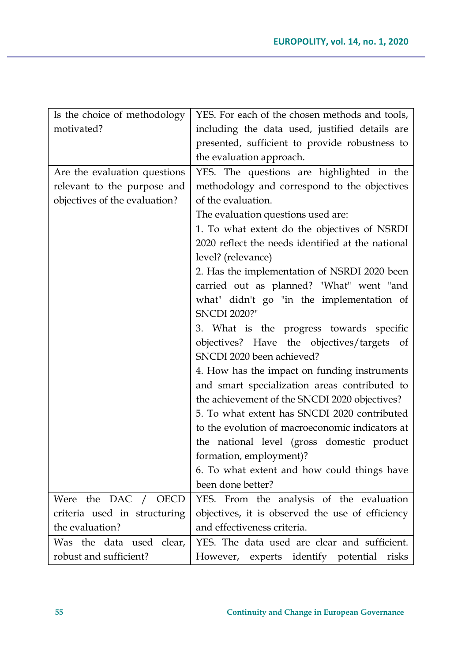| Is the choice of methodology  | YES. For each of the chosen methods and tools,    |
|-------------------------------|---------------------------------------------------|
| motivated?                    | including the data used, justified details are    |
|                               | presented, sufficient to provide robustness to    |
|                               | the evaluation approach.                          |
| Are the evaluation questions  | YES. The questions are highlighted in the         |
| relevant to the purpose and   | methodology and correspond to the objectives      |
| objectives of the evaluation? | of the evaluation.                                |
|                               | The evaluation questions used are:                |
|                               | 1. To what extent do the objectives of NSRDI      |
|                               | 2020 reflect the needs identified at the national |
|                               | level? (relevance)                                |
|                               | 2. Has the implementation of NSRDI 2020 been      |
|                               | carried out as planned? "What" went "and          |
|                               | what" didn't go "in the implementation of         |
|                               | <b>SNCDI 2020?"</b>                               |
|                               | 3. What is the progress towards specific          |
|                               | objectives? Have the objectives/targets of        |
|                               | SNCDI 2020 been achieved?                         |
|                               | 4. How has the impact on funding instruments      |
|                               | and smart specialization areas contributed to     |
|                               | the achievement of the SNCDI 2020 objectives?     |
|                               | 5. To what extent has SNCDI 2020 contributed      |
|                               | to the evolution of macroeconomic indicators at   |
|                               | the national level (gross domestic product        |
|                               | formation, employment)?                           |
|                               | 6. To what extent and how could things have       |
|                               | been done better?                                 |
| Were the DAC /<br><b>OECD</b> | YES. From the analysis of the evaluation          |
| criteria used in structuring  | objectives, it is observed the use of efficiency  |
| the evaluation?               | and effectiveness criteria.                       |
| Was the data used clear,      | YES. The data used are clear and sufficient.      |
| robust and sufficient?        | However, experts identify potential<br>risks      |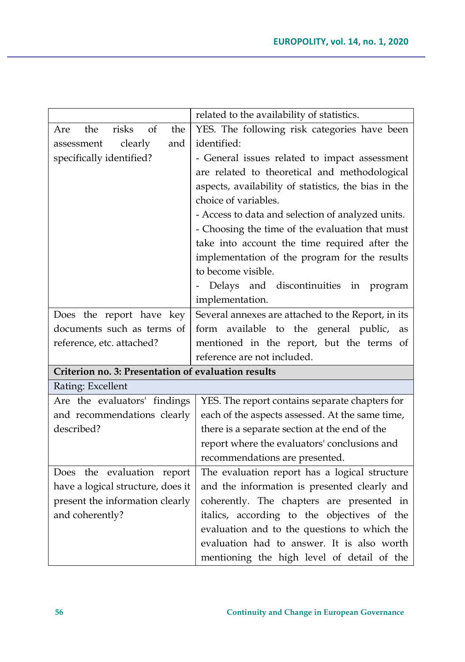|                                                     | related to the availability of statistics.           |
|-----------------------------------------------------|------------------------------------------------------|
| the<br>risks<br>of<br>the<br>Are                    | YES. The following risk categories have been         |
| clearly<br>and<br>assessment                        | identified:                                          |
| specifically identified?                            | - General issues related to impact assessment        |
|                                                     | are related to theoretical and methodological        |
|                                                     | aspects, availability of statistics, the bias in the |
|                                                     | choice of variables.                                 |
|                                                     | - Access to data and selection of analyzed units.    |
|                                                     | - Choosing the time of the evaluation that must      |
|                                                     | take into account the time required after the        |
|                                                     | implementation of the program for the results        |
|                                                     | to become visible.                                   |
|                                                     | Delays and discontinuities in<br>program             |
|                                                     | implementation.                                      |
| Does the report have key                            | Several annexes are attached to the Report, in its   |
| documents such as terms of                          | available to the general public,<br>form<br>as       |
| reference, etc. attached?                           | mentioned in the report, but the terms of            |
|                                                     | reference are not included.                          |
| Criterion no. 3: Presentation of evaluation results |                                                      |
| Rating: Excellent                                   |                                                      |
| Are the evaluators' findings                        | YES. The report contains separate chapters for       |
| and recommendations clearly                         | each of the aspects assessed. At the same time,      |
| described?                                          | there is a separate section at the end of the        |
|                                                     | report where the evaluators' conclusions and         |
|                                                     | recommendations are presented.                       |
| Does the evaluation report                          | The evaluation report has a logical structure        |
| have a logical structure, does it                   | and the information is presented clearly and         |
| present the information clearly                     | coherently. The chapters are presented in            |
| and coherently?                                     | italics, according to the objectives of the          |
|                                                     | evaluation and to the questions to which the         |
|                                                     | evaluation had to answer. It is also worth           |
|                                                     | mentioning the high level of detail of the           |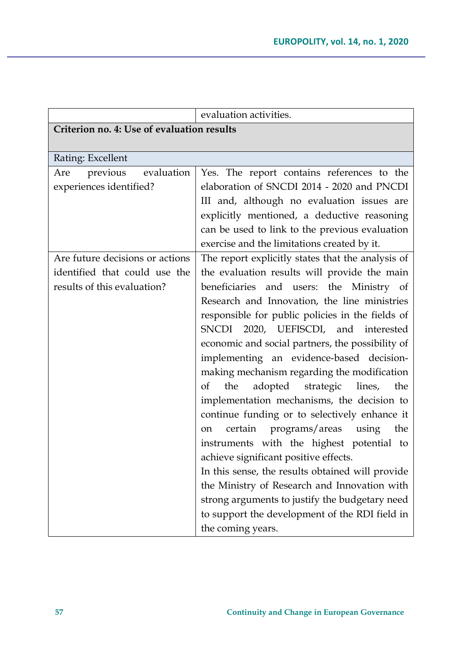|                                            | evaluation activities.                             |
|--------------------------------------------|----------------------------------------------------|
| Criterion no. 4: Use of evaluation results |                                                    |
|                                            |                                                    |
| Rating: Excellent                          |                                                    |
| evaluation<br>previous<br>Are              | Yes. The report contains references to the         |
| experiences identified?                    | elaboration of SNCDI 2014 - 2020 and PNCDI         |
|                                            | III and, although no evaluation issues are         |
|                                            | explicitly mentioned, a deductive reasoning        |
|                                            | can be used to link to the previous evaluation     |
|                                            | exercise and the limitations created by it.        |
| Are future decisions or actions            | The report explicitly states that the analysis of  |
| identified that could use the              | the evaluation results will provide the main       |
| results of this evaluation?                | beneficiaries and users: the Ministry of           |
|                                            | Research and Innovation, the line ministries       |
|                                            | responsible for public policies in the fields of   |
|                                            | 2020, UEFISCDI, and<br>SNCDI<br>interested         |
|                                            | economic and social partners, the possibility of   |
|                                            | implementing an evidence-based decision-           |
|                                            | making mechanism regarding the modification        |
|                                            | of<br>the<br>adopted<br>strategic<br>lines,<br>the |
|                                            | implementation mechanisms, the decision to         |
|                                            | continue funding or to selectively enhance it      |
|                                            | programs/areas<br>the<br>certain<br>using<br>on    |
|                                            | instruments with the highest potential to          |
|                                            | achieve significant positive effects.              |
|                                            | In this sense, the results obtained will provide   |
|                                            | the Ministry of Research and Innovation with       |
|                                            | strong arguments to justify the budgetary need     |
|                                            | to support the development of the RDI field in     |
|                                            | the coming years.                                  |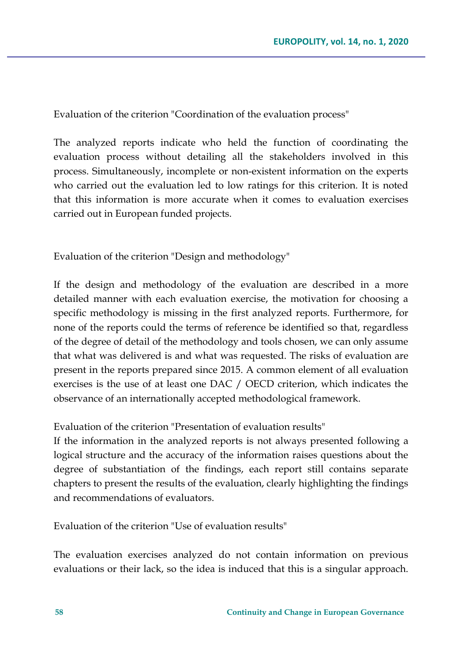Evaluation of the criterion "Coordination of the evaluation process"

The analyzed reports indicate who held the function of coordinating the evaluation process without detailing all the stakeholders involved in this process. Simultaneously, incomplete or non-existent information on the experts who carried out the evaluation led to low ratings for this criterion. It is noted that this information is more accurate when it comes to evaluation exercises carried out in European funded projects.

Evaluation of the criterion "Design and methodology"

If the design and methodology of the evaluation are described in a more detailed manner with each evaluation exercise, the motivation for choosing a specific methodology is missing in the first analyzed reports. Furthermore, for none of the reports could the terms of reference be identified so that, regardless of the degree of detail of the methodology and tools chosen, we can only assume that what was delivered is and what was requested. The risks of evaluation are present in the reports prepared since 2015. A common element of all evaluation exercises is the use of at least one DAC / OECD criterion, which indicates the observance of an internationally accepted methodological framework.

Evaluation of the criterion "Presentation of evaluation results"

If the information in the analyzed reports is not always presented following a logical structure and the accuracy of the information raises questions about the degree of substantiation of the findings, each report still contains separate chapters to present the results of the evaluation, clearly highlighting the findings and recommendations of evaluators.

Evaluation of the criterion "Use of evaluation results"

The evaluation exercises analyzed do not contain information on previous evaluations or their lack, so the idea is induced that this is a singular approach.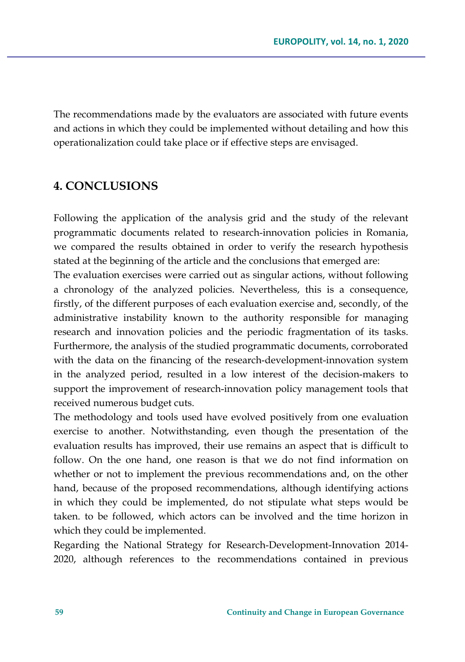The recommendations made by the evaluators are associated with future events and actions in which they could be implemented without detailing and how this operationalization could take place or if effective steps are envisaged.

# **4. CONCLUSIONS**

Following the application of the analysis grid and the study of the relevant programmatic documents related to research-innovation policies in Romania, we compared the results obtained in order to verify the research hypothesis stated at the beginning of the article and the conclusions that emerged are:

The evaluation exercises were carried out as singular actions, without following a chronology of the analyzed policies. Nevertheless, this is a consequence, firstly, of the different purposes of each evaluation exercise and, secondly, of the administrative instability known to the authority responsible for managing research and innovation policies and the periodic fragmentation of its tasks. Furthermore, the analysis of the studied programmatic documents, corroborated with the data on the financing of the research-development-innovation system in the analyzed period, resulted in a low interest of the decision-makers to support the improvement of research-innovation policy management tools that received numerous budget cuts.

The methodology and tools used have evolved positively from one evaluation exercise to another. Notwithstanding, even though the presentation of the evaluation results has improved, their use remains an aspect that is difficult to follow. On the one hand, one reason is that we do not find information on whether or not to implement the previous recommendations and, on the other hand, because of the proposed recommendations, although identifying actions in which they could be implemented, do not stipulate what steps would be taken. to be followed, which actors can be involved and the time horizon in which they could be implemented.

Regarding the National Strategy for Research-Development-Innovation 2014- 2020, although references to the recommendations contained in previous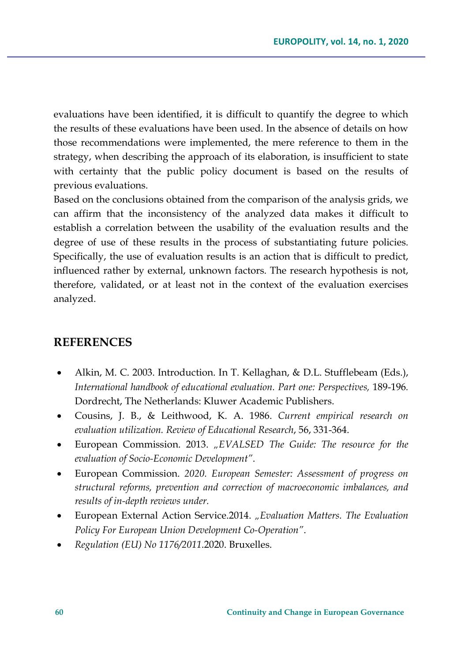evaluations have been identified, it is difficult to quantify the degree to which the results of these evaluations have been used. In the absence of details on how those recommendations were implemented, the mere reference to them in the strategy, when describing the approach of its elaboration, is insufficient to state with certainty that the public policy document is based on the results of previous evaluations.

Based on the conclusions obtained from the comparison of the analysis grids, we can affirm that the inconsistency of the analyzed data makes it difficult to establish a correlation between the usability of the evaluation results and the degree of use of these results in the process of substantiating future policies. Specifically, the use of evaluation results is an action that is difficult to predict, influenced rather by external, unknown factors. The research hypothesis is not, therefore, validated, or at least not in the context of the evaluation exercises analyzed.

# **REFERENCES**

- Alkin, M. C. 2003. Introduction. In T. Kellaghan, & D.L. Stufflebeam (Eds.), *International handbook of educational evaluation. Part one: Perspectives,* 189-196*.*  Dordrecht, The Netherlands: Kluwer Academic Publishers.
- Cousins, J. B., & Leithwood, K. A. 1986. *Current empirical research on evaluation utilization. Review of Educational Research*, 56, 331-364.
- European Commission. 2013. *"EVALSED The Guide: The resource for the evaluation of Socio-Economic Development"*.
- European Commission. *2020. European Semester: Assessment of progress on structural reforms, prevention and correction of macroeconomic imbalances, and results of in-depth reviews under.*
- European External Action Service.2014. *"Evaluation Matters. The Evaluation Policy For European Union Development Co-Operation"*.
- *Regulation (EU) No 1176/2011*.2020. Bruxelles.